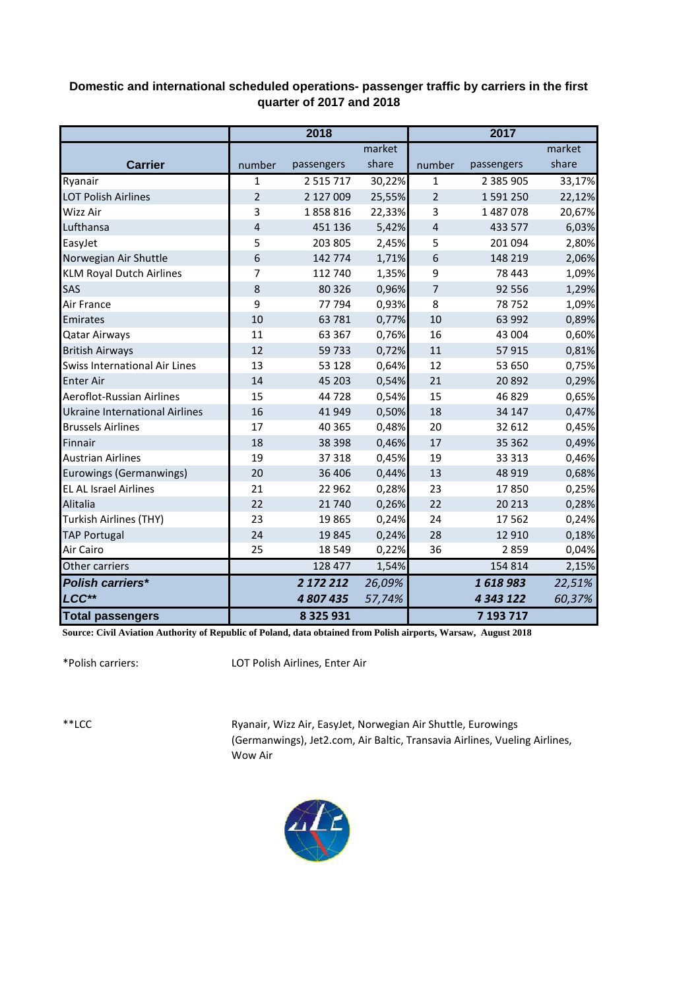## **Domestic and international scheduled operations- passenger traffic by carriers in the first quarter of 2017 and 2018**

|                                       | 2018           |               |        | 2017           |               |        |  |
|---------------------------------------|----------------|---------------|--------|----------------|---------------|--------|--|
|                                       |                |               | market |                |               | market |  |
| <b>Carrier</b>                        | number         | passengers    | share  | number         | passengers    | share  |  |
| Ryanair                               | 1              | 2 5 1 5 7 1 7 | 30,22% | 1              | 2 385 905     | 33,17% |  |
| <b>LOT Polish Airlines</b>            | $\overline{2}$ | 2 127 009     | 25,55% | $\overline{2}$ | 1 591 250     | 22,12% |  |
| <b>Wizz Air</b>                       | 3              | 1858816       | 22,33% | 3              | 1 487 078     | 20,67% |  |
| Lufthansa                             | $\overline{4}$ | 451 136       | 5,42%  | $\overline{4}$ | 433 577       | 6,03%  |  |
| EasyJet                               | 5              | 203 805       | 2,45%  | 5              | 201 094       | 2,80%  |  |
| Norwegian Air Shuttle                 | 6              | 142 774       | 1,71%  | 6              | 148 219       | 2,06%  |  |
| <b>KLM Royal Dutch Airlines</b>       | 7              | 112 740       | 1,35%  | 9              | 78 4 43       | 1,09%  |  |
| SAS                                   | 8              | 80 3 26       | 0,96%  | 7              | 92 556        | 1,29%  |  |
| Air France                            | 9              | 77 794        | 0,93%  | 8              | 78752         | 1,09%  |  |
| Emirates                              | 10             | 63 781        | 0,77%  | 10             | 63 992        | 0,89%  |  |
| <b>Qatar Airways</b>                  | 11             | 63 3 67       | 0,76%  | 16             | 43 004        | 0,60%  |  |
| <b>British Airways</b>                | 12             | 59733         | 0,72%  | 11             | 57915         | 0,81%  |  |
| <b>Swiss International Air Lines</b>  | 13             | 53 1 28       | 0,64%  | 12             | 53 650        | 0,75%  |  |
| <b>Enter Air</b>                      | 14             | 45 203        | 0,54%  | 21             | 20892         | 0,29%  |  |
| Aeroflot-Russian Airlines             | 15             | 44 728        | 0,54%  | 15             | 46829         | 0,65%  |  |
| <b>Ukraine International Airlines</b> | 16             | 41 949        | 0,50%  | 18             | 34 147        | 0,47%  |  |
| <b>Brussels Airlines</b>              | 17             | 40 3 65       | 0,48%  | 20             | 32 612        | 0,45%  |  |
| Finnair                               | 18             | 38 398        | 0,46%  | 17             | 35 362        | 0,49%  |  |
| <b>Austrian Airlines</b>              | 19             | 37 318        | 0,45%  | 19             | 33 313        | 0,46%  |  |
| <b>Eurowings (Germanwings)</b>        | 20             | 36 40 6       | 0,44%  | 13             | 48 9 19       | 0,68%  |  |
| <b>EL AL Israel Airlines</b>          | 21             | 22 9 62       | 0,28%  | 23             | 17850         | 0,25%  |  |
| Alitalia                              | 22             | 21 740        | 0,26%  | 22             | 20 213        | 0,28%  |  |
| Turkish Airlines (THY)                | 23             | 19865         | 0,24%  | 24             | 17562         | 0,24%  |  |
| <b>TAP Portugal</b>                   | 24             | 19845         | 0,24%  | 28             | 12 9 10       | 0,18%  |  |
| Air Cairo                             | 25             | 18 5 49       | 0,22%  | 36             | 2859          | 0,04%  |  |
| Other carriers                        |                | 128 477       | 1,54%  |                | 154 814       | 2,15%  |  |
| <b>Polish carriers*</b>               |                | 2 172 212     | 26,09% |                | 1618983       | 22,51% |  |
| LCC**                                 |                | 4 807 435     | 57,74% |                | 4 3 4 3 1 2 2 | 60,37% |  |
| <b>Total passengers</b>               |                | 8 3 2 5 9 3 1 |        |                | 7 193 717     |        |  |

**Source: Civil Aviation Authority of Republic of Poland, data obtained from Polish airports, Warsaw, August 2018**

\*Polish carriers:

LOT Polish Airlines, Enter Air

\*\*LCC

Ryanair, Wizz Air, EasyJet, Norwegian Air Shuttle, Eurowings (Germanwings), Jet2.com, Air Baltic, Transavia Airlines, Vueling Airlines, Wow Air